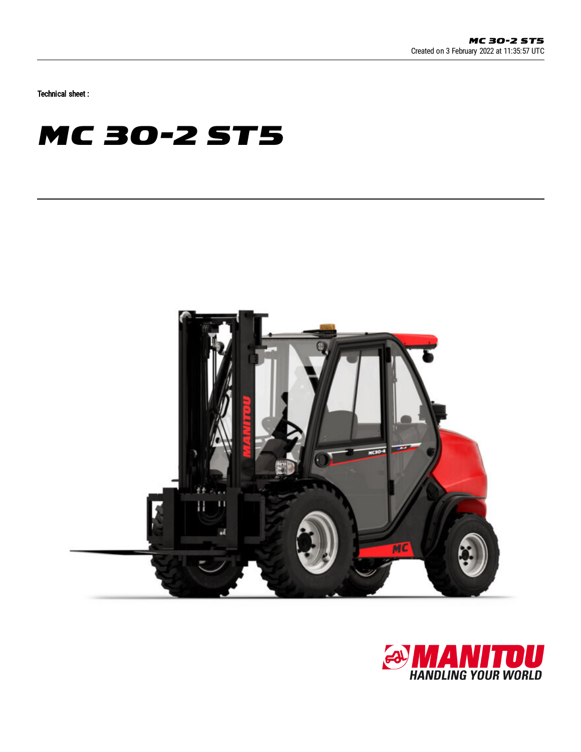Technical sheet :

## **MC 30-2 ST5**



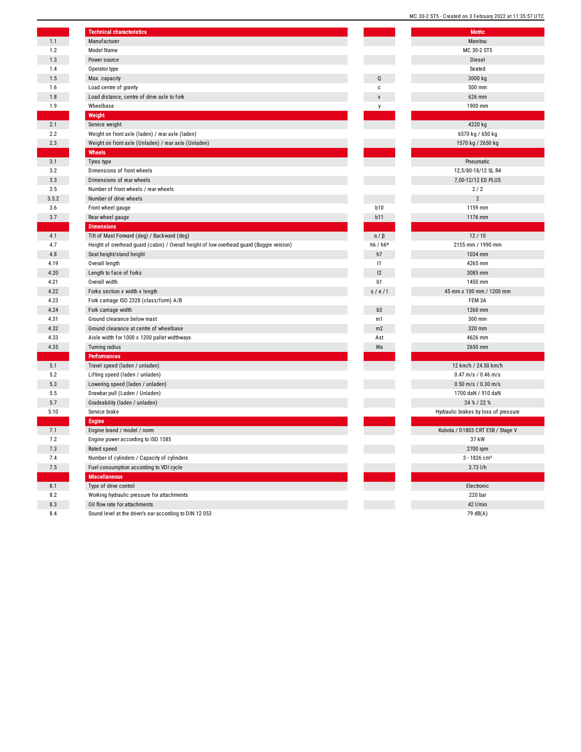|       | <b>Technical characteristics</b>                                                         |                | <b>Metric</b>                        |
|-------|------------------------------------------------------------------------------------------|----------------|--------------------------------------|
| 1.1   | Manufacturer                                                                             |                | Manitou                              |
| 1.2   | Model Name                                                                               |                | MC 30-2 ST5                          |
| 1.3   | Power source                                                                             |                | Diesel                               |
| 1.4   | Operator type                                                                            |                | Seated                               |
| 1.5   | Max. capacity                                                                            | $\mathbf 0$    | 3000 kg                              |
| 1.6   | Load centre of gravity                                                                   | $\mathbf c$    | 500 mm                               |
| 1.8   | Load distance, centre of drive axle to fork                                              | X              | 626 mm                               |
| 1.9   | Wheelbase                                                                                | V              | 1900 mm                              |
|       | Weight                                                                                   |                |                                      |
| 2.1   | Service weight                                                                           |                | 4220 kg                              |
| 2.2   | Weight on front axle (laden) / rear axle (laden)                                         |                | 6570 kg / 650 kg                     |
| 2.3   | Weight on front axle (Unladen) / rear axle (Unladen)                                     |                | 1570 kg / 2650 kg                    |
|       | Wheels                                                                                   |                |                                      |
| 3.1   | Tyres type                                                                               |                | Pneumatic                            |
| 3.2   | Dimensions of front wheels                                                               |                | 12,5/80-18/12 SL R4                  |
| 3.3   | Dimensions of rear wheels                                                                |                | 7,00-12/12 ED PLUS                   |
| 3.5   | Number of front wheels / rear wheels                                                     |                | 2/2                                  |
| 3.5.2 | Number of drive wheels                                                                   |                | $\overline{2}$                       |
| 3.6   | Front wheel gauge                                                                        | <b>b10</b>     | 1159 mm                              |
| 3.7   | Rear wheel gauge                                                                         | b11            | 1176 mm                              |
|       | <b>Dimensions</b>                                                                        |                |                                      |
| 4.1   | Tilt of Mast Forward (deg) / Backward (deg)                                              | $a / \beta$    | 12/10                                |
| 4.7   | Height of overhead guard (cabin) / Overall height of low overhead guard (Buggie version) | h6 / $h6*$     | 2155 mm / 1990 mm                    |
| 4.8   | Seat height/stand height                                                                 | h7             | 1034 mm                              |
| 4.19  | Overall length                                                                           | 1              | 4265 mm                              |
| 4.20  | Length to face of forks                                                                  | 2              | 3085 mm                              |
| 4.21  | Overall width                                                                            | b <sub>1</sub> | 1450 mm                              |
| 4.22  | Forks section x width x length                                                           | s/e/           | 45 mm x 100 mm / 1200 mm             |
| 4.23  | Fork carriage ISO 2328 (class/form) A/B                                                  |                | FEM 3A                               |
| 4.24  | Fork carriage width                                                                      | b <sub>3</sub> | 1260 mm                              |
| 4.31  | Ground clearance below mast                                                              | m1             | 300 mm                               |
| 4.32  | Ground clearance at centre of wheelbase                                                  | m2             | 320 mm                               |
| 4.33  | Aisle width for 1000 x 1200 pallet widthways                                             | Ast            | 4626 mm                              |
| 4.35  | Turning radius                                                                           | Wa             | 2650 mm                              |
|       | <b>Performances</b>                                                                      |                |                                      |
| 5.1   | Travel speed (laden / unladen)                                                           |                | 12 km/h / 24.50 km/h                 |
| 5.2   | Lifting speed (laden / unladen)                                                          |                | $0.47$ m/s / $0.46$ m/s              |
| 5.3   | Lowering speed (laden / unladen)                                                         |                | $0.50$ m/s / $0.30$ m/s              |
| 5.5   | Drawbar pull (Laden / Unladen)                                                           |                | 1700 daN / 910 daN                   |
|       | Gradeability (laden / unladen)                                                           |                | 24 % / 22 %                          |
| 5.7   | Service brake                                                                            |                | Hydraulic brakes by loss of pressure |
| 5.10  |                                                                                          |                |                                      |
|       | <b>Engine</b><br>Engine brand / model / norm                                             |                | Kubota / D1803 CRT E5B / Stage V     |
| 7.1   |                                                                                          |                | 37 kW                                |
| 7.2   | Engine power according to ISO 1585                                                       |                |                                      |
| 7.3   | Rated speed                                                                              |                | 2700 rpm                             |
| 7.4   | Number of cylinders / Capacity of cylinders                                              |                | 3 - 1826 cm <sup>3</sup>             |
| 7.5   | Fuel consumption according to VDI cycle                                                  |                | $3.73$ l/h                           |
|       | <b>Miscellaneous</b>                                                                     |                |                                      |
| 8.1   | Type of drive control                                                                    |                | Electronic                           |
| 8.2   | Working hydraulic pressure for attachments                                               |                | 220 bar                              |
| 8.3   | Oil flow rate for attachments                                                            |                | 42 l/min                             |
| 8.4   | Sound level at the driver's ear according to DIN 12 053                                  |                | 79 dB(A)                             |

|           | MC 30-2 ST5 - Created on 3 February 2022 at 11:35:57 UTC |
|-----------|----------------------------------------------------------|
|           | <b>Metric</b>                                            |
|           | Manitou                                                  |
|           | MC 30-2 ST5                                              |
|           | Diesel                                                   |
|           | Seated                                                   |
| Q         | 3000 kg                                                  |
| C         | 500 mm                                                   |
| X         | 626 mm                                                   |
| у         | 1900 mm                                                  |
|           | 4220 kg                                                  |
|           | 6570 kg / 650 kg                                         |
|           | 1570 kg / 2650 kg                                        |
|           |                                                          |
|           | Pneumatic                                                |
|           | 12,5/80-18/12 SL R4                                      |
|           | 7,00-12/12 ED PLUS                                       |
|           | 2/2                                                      |
|           | $\overline{2}$                                           |
| 10        | 1159 mm                                                  |
| 11        | 1176 mm                                                  |
|           |                                                          |
| $/ \beta$ | 12/10                                                    |
| $h6*$     | 2155 mm / 1990 mm                                        |
| 17        | 1034 mm<br>4265 mm                                       |
| 1<br>12   | 3085 mm                                                  |
| 1נ        | 1450 mm                                                  |
| e/1       | 45 mm x 100 mm / 1200 mm                                 |
|           | FEM 3A                                                   |
| ρЗ        | 1260 mm                                                  |
| п1        | 300 mm                                                   |
| п2        | 320 mm                                                   |
| ١st       | 4626 mm                                                  |
| ٧a        | 2650 mm                                                  |
|           |                                                          |
|           | 12 km/h / 24.50 km/h                                     |
|           | $0.47$ m/s / $0.46$ m/s                                  |
|           | $0.50$ m/s / $0.30$ m/s                                  |
|           | 1700 daN / 910 daN<br>24 % / 22 %                        |
|           | Hydraulic brakes by loss of pressure                     |
|           |                                                          |
|           | Kubota / D1803 CRT E5B / Stage V                         |
|           | 37 kW                                                    |
|           | 2700 rpm                                                 |
|           | $3 - 1826$ cm <sup>3</sup>                               |
|           | $3.73$ l/h                                               |
|           |                                                          |
|           | Electronic                                               |
|           | 220 bar                                                  |
|           | 42 l/min                                                 |

J.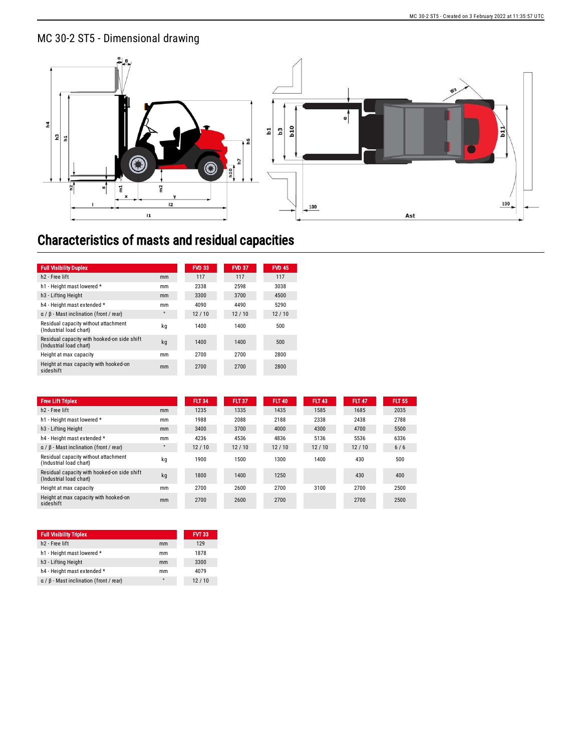## MC 30-2 ST5 - Dimensional drawing



## Characteristics of masts and residual capacities

| <b>Full Visibility Duplex</b>                                          |           | <b>FVD 33</b> | <b>FVD 37</b> | <b>FVD 45</b> |
|------------------------------------------------------------------------|-----------|---------------|---------------|---------------|
| h <sub>2</sub> - Free lift                                             | mm        | 117           | 117           | 117           |
| h1 - Height mast lowered *                                             | mm        | 2338          | 2598          | 3038          |
| h <sub>3</sub> - Lifting Height                                        | mm        | 3300          | 3700          | 4500          |
| h4 - Height mast extended *                                            | mm        | 4090          | 4490          | 5290          |
| $\alpha$ / $\beta$ - Mast inclination (front / rear)                   | $\bullet$ | 12/10         | 12/10         | 12/10         |
| Residual capacity without attachment<br>(Industrial load chart)        | kq        | 1400          | 1400          | 500           |
| Residual capacity with hooked-on side shift<br>(Industrial load chart) | kq        | 1400          | 1400          | 500           |
| Height at max capacity                                                 | mm        | 2700          | 2700          | 2800          |
| Height at max capacity with hooked-on<br>sideshift                     | mm        | 2700          | 2700          | 2800          |

| <b>Free Lift Triplex</b>                                               |                      | <b>FLT 34</b> | <b>FLT 37</b> | <b>FLT 40</b> | <b>FLT 43</b> | <b>FLT 47</b> | <b>FLT 55</b> |
|------------------------------------------------------------------------|----------------------|---------------|---------------|---------------|---------------|---------------|---------------|
| h <sub>2</sub> - Free lift                                             | mm                   | 1235          | 1335          | 1435          | 1585          | 1685          | 2035          |
| h1 - Height mast lowered *                                             | mm                   | 1988          | 2088          | 2188          | 2338          | 2438          | 2788          |
| h <sub>3</sub> - Lifting Height                                        | mm                   | 3400          | 3700          | 4000          | 4300          | 4700          | 5500          |
| h4 - Height mast extended *                                            | mm                   | 4236          | 4536          | 4836          | 5136          | 5536          | 6336          |
| $\alpha$ / $\beta$ - Mast inclination (front / rear)                   | $\ddot{\phantom{0}}$ | 12/10         | 12/10         | 12/10         | 12/10         | 12/10         | 6/6           |
| Residual capacity without attachment<br>(Industrial load chart)        | kg                   | 1900          | 1500          | 1300          | 1400          | 430           | 500           |
| Residual capacity with hooked-on side shift<br>(Industrial load chart) | kq                   | 1800          | 1400          | 1250          |               | 430           | 400           |
| Height at max capacity                                                 | mm                   | 2700          | 2600          | 2700          | 3100          | 2700          | 2500          |
| Height at max capacity with hooked-on<br>sideshift                     | mm                   | 2700          | 2600          | 2700          |               | 2700          | 2500          |

| <b>Full Visibility Triplex</b>                       |         | <b>FVT 33</b> |
|------------------------------------------------------|---------|---------------|
| h <sub>2</sub> - Free lift                           | mm      | 129           |
| h1 - Height mast lowered *                           | mm      | 1878          |
| h <sub>3</sub> - Lifting Height                      | mm      | 3300          |
| h4 - Height mast extended *                          | mm      | 4079          |
| $\alpha$ / $\beta$ - Mast inclination (front / rear) | $\circ$ | 12/10         |